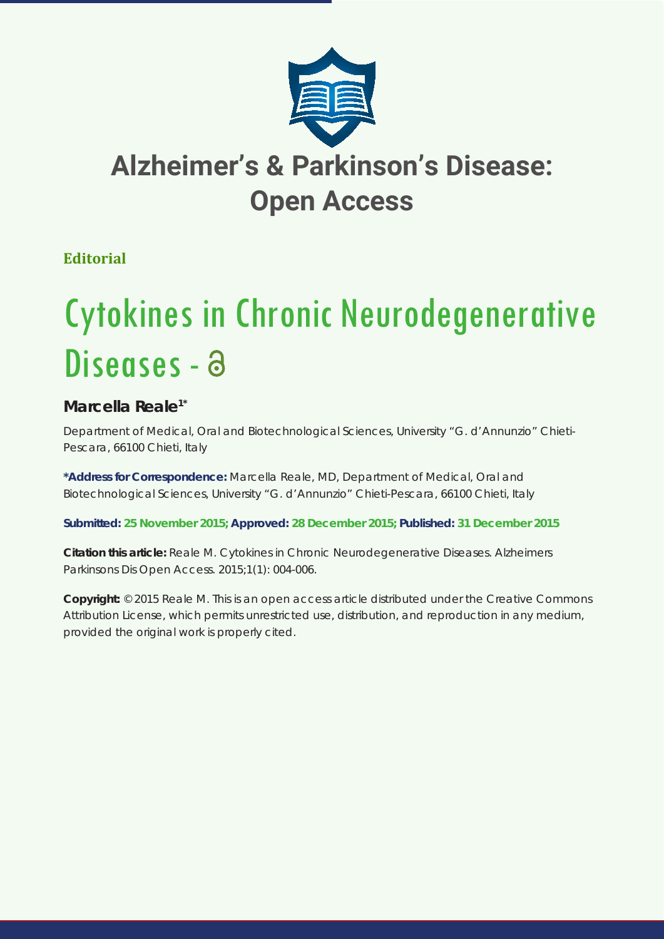

## **Alzheimer's & Parkinson's Disease: Open Access**

## **Editorial**

# Cytokines in Chronic Neurodegenerative Diseases - a

## **Marcella Reale1\***

*Department of Medical, Oral and Biotechnological Sciences, University "G. d'Annunzio" Chieti-Pescara, 66100 Chieti, Italy*

**\*Address for Correspondence:** Marcella Reale, MD, Department of Medical, Oral and Biotechnological Sciences, University "G. d'Annunzio" Chieti-Pescara, 66100 Chieti, Italy

**Submitted: 25 November 2015; Approved: 28 December 2015; Published: 31 December 2015**

**Citation this article:** Reale M. Cytokines in Chronic Neurodegenerative Diseases. Alzheimers Parkinsons Dis Open Access. 2015;1(1): 004-006.

**Copyright:** © 2015 Reale M. This is an open access article distributed under the Creative Commons Attribution License, which permits unrestricted use, distribution, and reproduction in any medium, provided the original work is properly cited.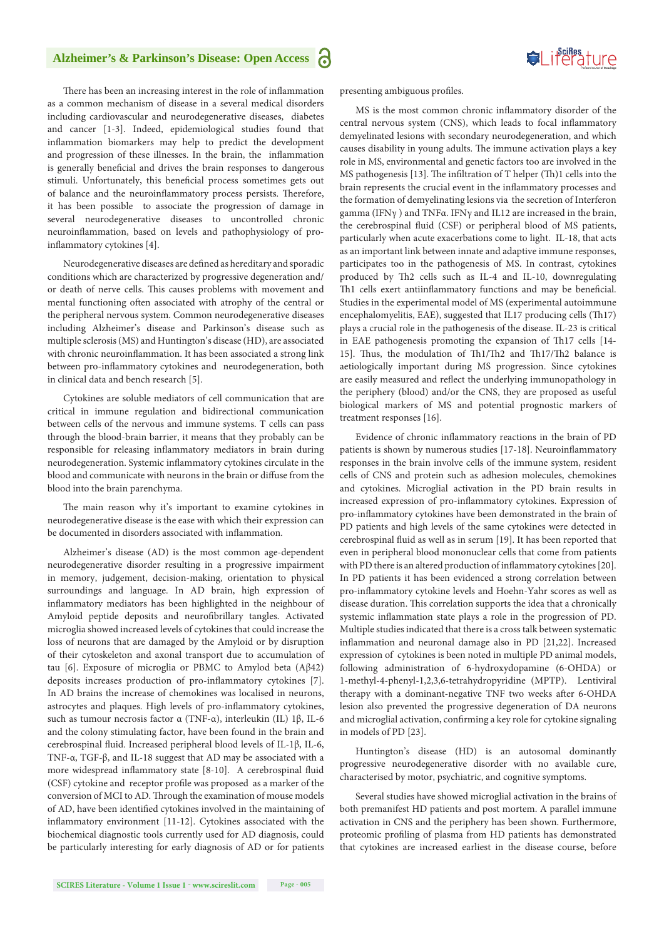### **Alzheimer's & Parkinson's Disease: Open Access**

Suifes ture

There has been an increasing interest in the role of inflammation as a common mechanism of disease in a several medical disorders including cardiovascular and neurodegenerative diseases, diabetes and cancer [1-3]. Indeed, epidemiological studies found that inflammation biomarkers may help to predict the development and progression of these illnesses. In the brain, the inflammation is generally beneficial and drives the brain responses to dangerous stimuli. Unfortunately, this beneficial process sometimes gets out of balance and the neuroinflammatory process persists. Therefore, it has been possible to associate the progression of damage in several neurodegenerative diseases to uncontrolled chronic neuroinflammation, based on levels and pathophysiology of proinflammatory cytokines [4].

Neurodegenerative diseases are defined as hereditary and sporadic conditions which are characterized by progressive degeneration and/ or death of nerve cells. This causes problems with movement and mental functioning often associated with atrophy of the central or the peripheral nervous system. Common neurodegenerative diseases including Alzheimer's disease and Parkinson's disease such as multiple sclerosis (MS) and Huntington's disease (HD), are associated with chronic neuroinflammation. It has been associated a strong link between pro-inflammatory cytokines and neurodegeneration, both in clinical data and bench research [5].

Cytokines are soluble mediators of cell communication that are critical in immune regulation and bidirectional communication between cells of the nervous and immune systems. T cells can pass through the blood-brain barrier, it means that they probably can be responsible for releasing inflammatory mediators in brain during neurodegeneration. Systemic inflammatory cytokines circulate in the blood and communicate with neurons in the brain or diffuse from the blood into the brain parenchyma.

The main reason why it's important to examine cytokines in neurodegenerative disease is the ease with which their expression can be documented in disorders associated with inflammation.

Alzheimer's disease (AD) is the most common age-dependent neurodegenerative disorder resulting in a progressive impairment in memory, judgement, decision-making, orientation to physical surroundings and language. In AD brain, high expression of inflammatory mediators has been highlighted in the neighbour of Amyloid peptide deposits and neurofibrillary tangles. Activated microglia showed increased levels of cytokines that could increase the loss of neurons that are damaged by the Amyloid or by disruption of their cytoskeleton and axonal transport due to accumulation of tau [6]. Exposure of microglia or PBMC to Amylod beta (Aβ42) deposits increases production of pro-inflammatory cytokines [7]. In AD brains the increase of chemokines was localised in neurons, astrocytes and plaques. High levels of pro-inflammatory cytokines, such as tumour necrosis factor α (TNF-α), interleukin (IL) 1β, IL-6 and the colony stimulating factor, have been found in the brain and cerebrospinal fluid. Increased peripheral blood levels of IL-1β, IL-6, TNF-α, TGF-β, and IL-18 suggest that AD may be associated with a more widespread inflammatory state [8-10]. A cerebrospinal fluid (CSF) cytokine and receptor profile was proposed as a marker of the conversion of MCI to AD. Through the examination of mouse models of AD, have been identified cytokines involved in the maintaining of inflammatory environment [11-12]. Cytokines associated with the biochemical diagnostic tools currently used for AD diagnosis, could be particularly interesting for early diagnosis of AD or for patients presenting ambiguous profiles.

MS is the most common chronic inflammatory disorder of the central nervous system (CNS), which leads to focal inflammatory demyelinated lesions with secondary neurodegeneration, and which causes disability in young adults. The immune activation plays a key role in MS, environmental and genetic factors too are involved in the MS pathogenesis [13]. The infiltration of T helper (Th)1 cells into the brain represents the crucial event in the inflammatory processes and the formation of demyelinating lesions via the secretion of Interferon gamma (IFNγ ) and TNFα. IFNγ and IL12 are increased in the brain, the cerebrospinal fluid (CSF) or peripheral blood of MS patients, particularly when acute exacerbations come to light. IL-18, that acts as an important link between innate and adaptive immune responses, participates too in the pathogenesis of MS. In contrast, cytokines produced by Th2 cells such as IL-4 and IL-10, downregulating Th1 cells exert antiinflammatory functions and may be beneficial. Studies in the experimental model of MS (experimental autoimmune encephalomyelitis, EAE), suggested that IL17 producing cells (Th17) plays a crucial role in the pathogenesis of the disease. IL-23 is critical in EAE pathogenesis promoting the expansion of Th17 cells [14- 15]. Thus, the modulation of Th1/Th2 and Th17/Th2 balance is aetiologically important during MS progression. Since cytokines are easily measured and reflect the underlying immunopathology in the periphery (blood) and/or the CNS, they are proposed as useful biological markers of MS and potential prognostic markers of treatment responses [16].

Evidence of chronic inflammatory reactions in the brain of PD patients is shown by numerous studies [17-18]. Neuroinflammatory responses in the brain involve cells of the immune system, resident cells of CNS and protein such as adhesion molecules, chemokines and cytokines. Microglial activation in the PD brain results in increased expression of pro-inflammatory cytokines. Expression of pro-inflammatory cytokines have been demonstrated in the brain of PD patients and high levels of the same cytokines were detected in cerebrospinal fluid as well as in serum [19]. It has been reported that even in peripheral blood mononuclear cells that come from patients with PD there is an altered production of inflammatory cytokines [20]. In PD patients it has been evidenced a strong correlation between pro-inflammatory cytokine levels and Hoehn-Yahr scores as well as disease duration. This correlation supports the idea that a chronically systemic inflammation state plays a role in the progression of PD. Multiple studies indicated that there is a cross talk between systematic inflammation and neuronal damage also in PD [21,22]. Increased expression of cytokines is been noted in multiple PD animal models, following administration of 6-hydroxydopamine (6-OHDA) or 1-methyl-4-phenyl-1,2,3,6-tetrahydropyridine (MPTP). Lentiviral therapy with a dominant-negative TNF two weeks after 6-OHDA lesion also prevented the progressive degeneration of DA neurons and microglial activation, confirming a key role for cytokine signaling in models of PD [23].

Huntington's disease (HD) is an autosomal dominantly progressive neurodegenerative disorder with no available cure, characterised by motor, psychiatric, and cognitive symptoms.

Several studies have showed microglial activation in the brains of both premanifest HD patients and post mortem. A parallel immune activation in CNS and the periphery has been shown. Furthermore, proteomic profiling of plasma from HD patients has demonstrated that cytokines are increased earliest in the disease course, before